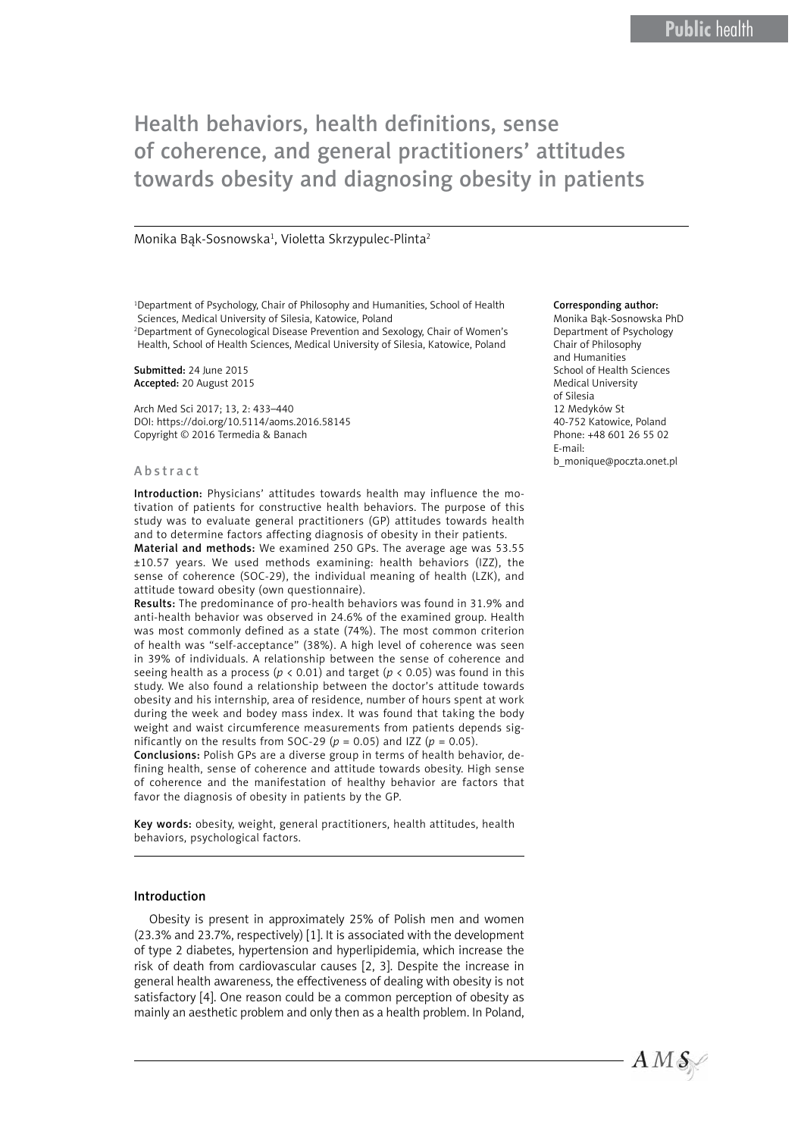# Health behaviors, health definitions, sense of coherence, and general practitioners' attitudes towards obesity and diagnosing obesity in patients

#### Monika Bąk-Sosnowska<sup>1</sup>, Violetta Skrzypulec-Plinta<sup>2</sup>

<sup>1</sup>Department of Psychology, Chair of Philosophy and Humanities, School of Health Sciences, Medical University of Silesia, Katowice, Poland

2 Department of Gynecological Disease Prevention and Sexology, Chair of Women's Health, School of Health Sciences, Medical University of Silesia, Katowice, Poland

Submitted: 24 June 2015 Accepted: 20 August 2015

Arch Med Sci 2017; 13, 2: 433–440 DOI: https://doi.org/10.5114/aoms.2016.58145 Copyright © 2016 Termedia & Banach

#### Abstract

Introduction: Physicians' attitudes towards health may influence the motivation of patients for constructive health behaviors. The purpose of this study was to evaluate general practitioners (GP) attitudes towards health and to determine factors affecting diagnosis of obesity in their patients.

Material and methods: We examined 250 GPs. The average age was 53.55 ±10.57 years. We used methods examining: health behaviors (IZZ), the sense of coherence (SOC-29), the individual meaning of health (LZK), and attitude toward obesity (own questionnaire).

Results: The predominance of pro-health behaviors was found in 31.9% and anti-health behavior was observed in 24.6% of the examined group. Health was most commonly defined as a state (74%). The most common criterion of health was "self-acceptance" (38%). A high level of coherence was seen in 39% of individuals. A relationship between the sense of coherence and seeing health as a process (*p* < 0.01) and target (*p* < 0.05) was found in this study. We also found a relationship between the doctor's attitude towards obesity and his internship, area of residence, number of hours spent at work during the week and bodey mass index. It was found that taking the body weight and waist circumference measurements from patients depends significantly on the results from SOC-29 ( $p = 0.05$ ) and IZZ ( $p = 0.05$ ).

Conclusions: Polish GPs are a diverse group in terms of health behavior, defining health, sense of coherence and attitude towards obesity. High sense of coherence and the manifestation of healthy behavior are factors that favor the diagnosis of obesity in patients by the GP.

Key words: obesity, weight, general practitioners, health attitudes, health behaviors, psychological factors.

#### Introduction

Obesity is present in approximately 25% of Polish men and women (23.3% and 23.7%, respectively) [1]. It is associated with the development of type 2 diabetes, hypertension and hyperlipidemia, which increase the risk of death from cardiovascular causes [2, 3]. Despite the increase in general health awareness, the effectiveness of dealing with obesity is not satisfactory [4]. One reason could be a common perception of obesity as mainly an aesthetic problem and only then as a health problem. In Poland,

#### Corresponding author:

Monika Bąk-Sosnowska PhD Department of Psychology Chair of Philosophy and Humanities School of Health Sciences Medical University of Silesia 12 Medyków St 40-752 Katowice, Poland Phone: +48 601 26 55 02 E-mail: b\_monique@poczta.onet.pl

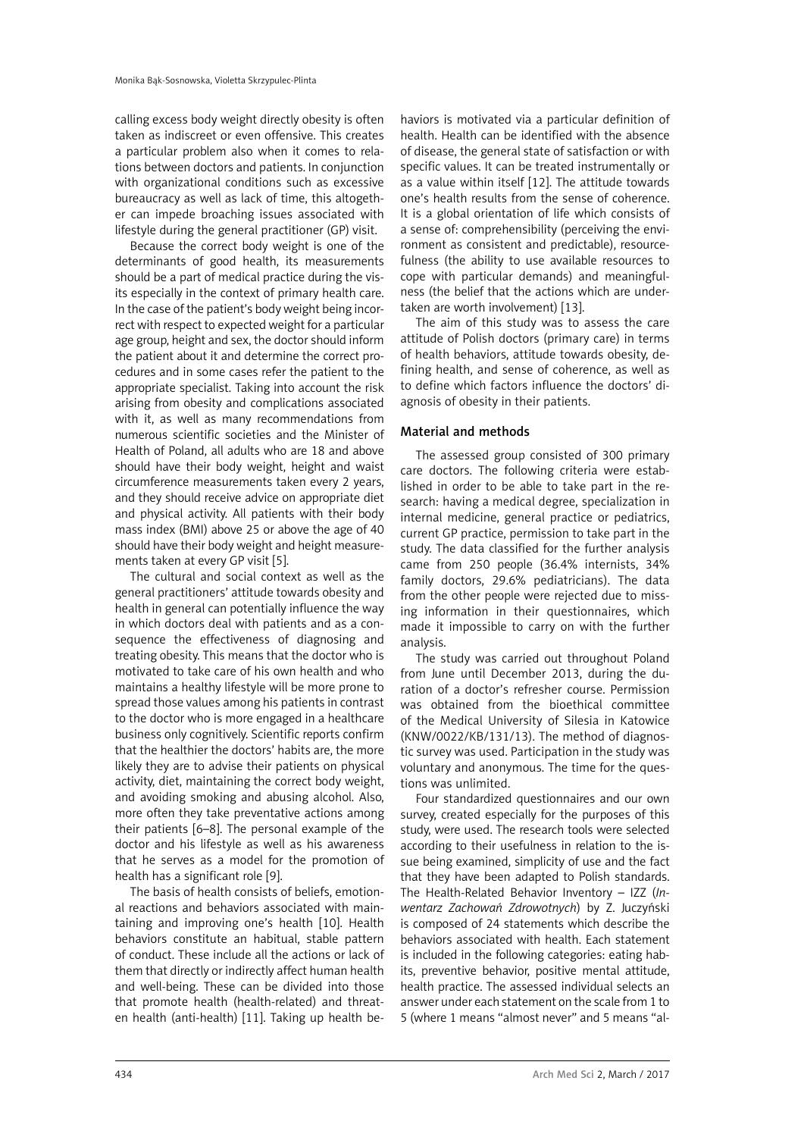calling excess body weight directly obesity is often taken as indiscreet or even offensive. This creates a particular problem also when it comes to relations between doctors and patients. In conjunction with organizational conditions such as excessive bureaucracy as well as lack of time, this altogether can impede broaching issues associated with lifestyle during the general practitioner (GP) visit.

Because the correct body weight is one of the determinants of good health, its measurements should be a part of medical practice during the visits especially in the context of primary health care. In the case of the patient's body weight being incorrect with respect to expected weight for a particular age group, height and sex, the doctor should inform the patient about it and determine the correct procedures and in some cases refer the patient to the appropriate specialist. Taking into account the risk arising from obesity and complications associated with it, as well as many recommendations from numerous scientific societies and the Minister of Health of Poland, all adults who are 18 and above should have their body weight, height and waist circumference measurements taken every 2 years, and they should receive advice on appropriate diet and physical activity. All patients with their body mass index (BMI) above 25 or above the age of 40 should have their body weight and height measurements taken at every GP visit [5].

The cultural and social context as well as the general practitioners' attitude towards obesity and health in general can potentially influence the way in which doctors deal with patients and as a consequence the effectiveness of diagnosing and treating obesity. This means that the doctor who is motivated to take care of his own health and who maintains a healthy lifestyle will be more prone to spread those values among his patients in contrast to the doctor who is more engaged in a healthcare business only cognitively. Scientific reports confirm that the healthier the doctors' habits are, the more likely they are to advise their patients on physical activity, diet, maintaining the correct body weight, and avoiding smoking and abusing alcohol. Also, more often they take preventative actions among their patients [6–8]. The personal example of the doctor and his lifestyle as well as his awareness that he serves as a model for the promotion of health has a significant role [9].

The basis of health consists of beliefs, emotional reactions and behaviors associated with maintaining and improving one's health [10]. Health behaviors constitute an habitual, stable pattern of conduct. These include all the actions or lack of them that directly or indirectly affect human health and well-being. These can be divided into those that promote health (health-related) and threaten health (anti-health) [11]. Taking up health behaviors is motivated via a particular definition of health. Health can be identified with the absence of disease, the general state of satisfaction or with specific values. It can be treated instrumentally or as a value within itself [12]. The attitude towards one's health results from the sense of coherence. It is a global orientation of life which consists of a sense of: comprehensibility (perceiving the environment as consistent and predictable), resourcefulness (the ability to use available resources to cope with particular demands) and meaningfulness (the belief that the actions which are undertaken are worth involvement) [13].

The aim of this study was to assess the care attitude of Polish doctors (primary care) in terms of health behaviors, attitude towards obesity, defining health, and sense of coherence, as well as to define which factors influence the doctors' diagnosis of obesity in their patients.

#### Material and methods

The assessed group consisted of 300 primary care doctors. The following criteria were established in order to be able to take part in the research: having a medical degree, specialization in internal medicine, general practice or pediatrics, current GP practice, permission to take part in the study. The data classified for the further analysis came from 250 people (36.4% internists, 34% family doctors, 29.6% pediatricians). The data from the other people were rejected due to missing information in their questionnaires, which made it impossible to carry on with the further analysis.

The study was carried out throughout Poland from June until December 2013, during the duration of a doctor's refresher course. Permission was obtained from the bioethical committee of the Medical University of Silesia in Katowice (KNW/0022/KB/131/13). The method of diagnostic survey was used. Participation in the study was voluntary and anonymous. The time for the questions was unlimited.

Four standardized questionnaires and our own survey, created especially for the purposes of this study, were used. The research tools were selected according to their usefulness in relation to the issue being examined, simplicity of use and the fact that they have been adapted to Polish standards. The Health-Related Behavior Inventory – IZZ (*Inwentarz Zachowań Zdrowotnych*) by Z. Juczyński is composed of 24 statements which describe the behaviors associated with health. Each statement is included in the following categories: eating habits, preventive behavior, positive mental attitude, health practice. The assessed individual selects an answer under each statement on the scale from 1 to 5 (where 1 means "almost never" and 5 means "al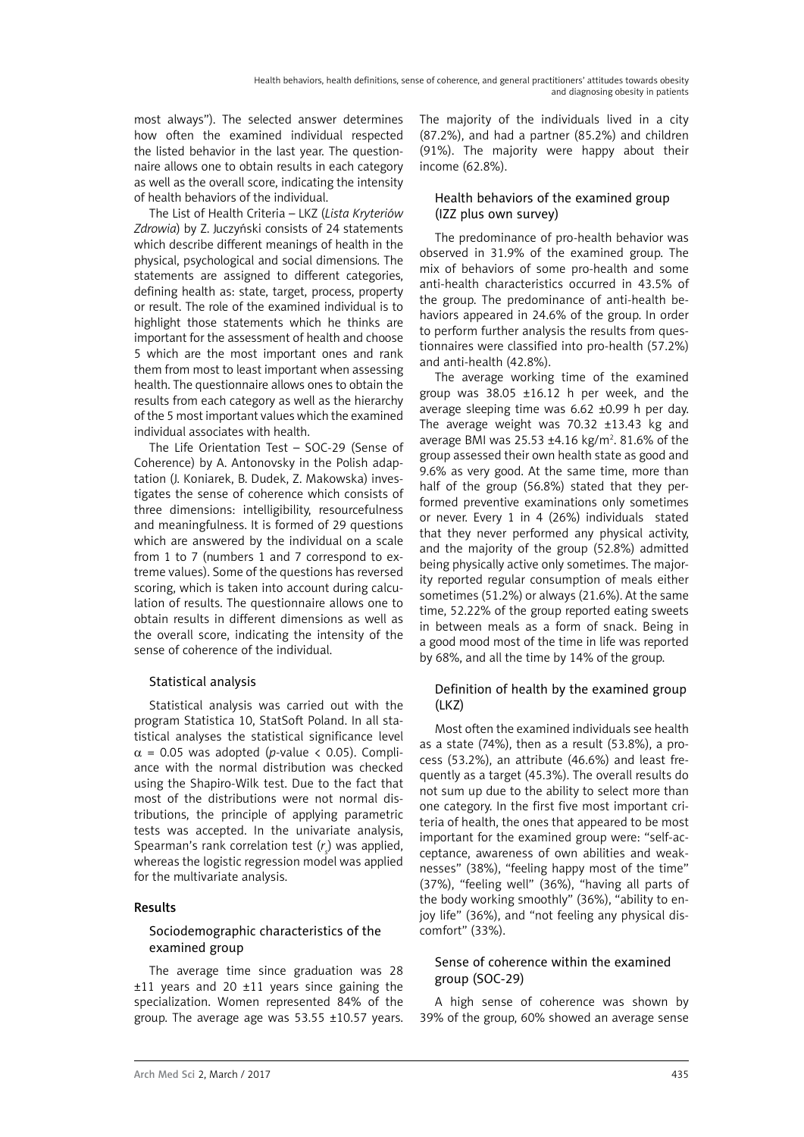most always"). The selected answer determines how often the examined individual respected the listed behavior in the last year. The questionnaire allows one to obtain results in each category as well as the overall score, indicating the intensity of health behaviors of the individual.

The List of Health Criteria – LKZ (*Lista Kryteriów Zdrowia*) by Z. Juczyński consists of 24 statements which describe different meanings of health in the physical, psychological and social dimensions. The statements are assigned to different categories, defining health as: state, target, process, property or result. The role of the examined individual is to highlight those statements which he thinks are important for the assessment of health and choose 5 which are the most important ones and rank them from most to least important when assessing health. The questionnaire allows ones to obtain the results from each category as well as the hierarchy of the 5 most important values which the examined individual associates with health.

The Life Orientation Test – SOC-29 (Sense of Coherence) by A. Antonovsky in the Polish adaptation (J. Koniarek, B. Dudek, Z. Makowska) investigates the sense of coherence which consists of three dimensions: intelligibility, resourcefulness and meaningfulness. It is formed of 29 questions which are answered by the individual on a scale from 1 to 7 (numbers 1 and 7 correspond to extreme values). Some of the questions has reversed scoring, which is taken into account during calculation of results. The questionnaire allows one to obtain results in different dimensions as well as the overall score, indicating the intensity of the sense of coherence of the individual.

# Statistical analysis

Statistical analysis was carried out with the program Statistica 10, StatSoft Poland. In all statistical analyses the statistical significance level  $\alpha$  = 0.05 was adopted (*p*-value < 0.05). Compliance with the normal distribution was checked using the Shapiro-Wilk test. Due to the fact that most of the distributions were not normal distributions, the principle of applying parametric tests was accepted. In the univariate analysis, Spearman's rank correlation test (*r s* ) was applied, whereas the logistic regression model was applied for the multivariate analysis.

# Results

# Sociodemographic characteristics of the examined group

The average time since graduation was 28  $±11$  years and 20  $±11$  years since gaining the specialization. Women represented 84% of the group. The average age was  $53.55 \pm 10.57$  years. The majority of the individuals lived in a city (87.2%), and had a partner (85.2%) and children (91%). The majority were happy about their income (62.8%).

# Health behaviors of the examined group (IZZ plus own survey)

The predominance of pro-health behavior was observed in 31.9% of the examined group. The mix of behaviors of some pro-health and some anti-health characteristics occurred in 43.5% of the group. The predominance of anti-health behaviors appeared in 24.6% of the group. In order to perform further analysis the results from questionnaires were classified into pro-health (57.2%) and anti-health (42.8%).

The average working time of the examined group was  $38.05 \pm 16.12$  h per week, and the average sleeping time was 6.62 ±0.99 h per day. The average weight was 70.32 ±13.43 kg and average BMI was 25.53  $\pm$ 4.16 kg/m<sup>2</sup>. 81.6% of the group assessed their own health state as good and 9.6% as very good. At the same time, more than half of the group (56.8%) stated that they performed preventive examinations only sometimes or never. Every 1 in 4 (26%) individuals stated that they never performed any physical activity, and the majority of the group (52.8%) admitted being physically active only sometimes. The majority reported regular consumption of meals either sometimes (51.2%) or always (21.6%). At the same time, 52.22% of the group reported eating sweets in between meals as a form of snack. Being in a good mood most of the time in life was reported by 68%, and all the time by 14% of the group.

# Definition of health by the examined group (LKZ)

Most often the examined individuals see health as a state (74%), then as a result (53.8%), a process (53.2%), an attribute (46.6%) and least frequently as a target (45.3%). The overall results do not sum up due to the ability to select more than one category. In the first five most important criteria of health, the ones that appeared to be most important for the examined group were: "self-acceptance, awareness of own abilities and weaknesses" (38%), "feeling happy most of the time" (37%), "feeling well" (36%), "having all parts of the body working smoothly" (36%), "ability to enjoy life" (36%), and "not feeling any physical discomfort" (33%).

# Sense of coherence within the examined group (SOC-29)

A high sense of coherence was shown by 39% of the group, 60% showed an average sense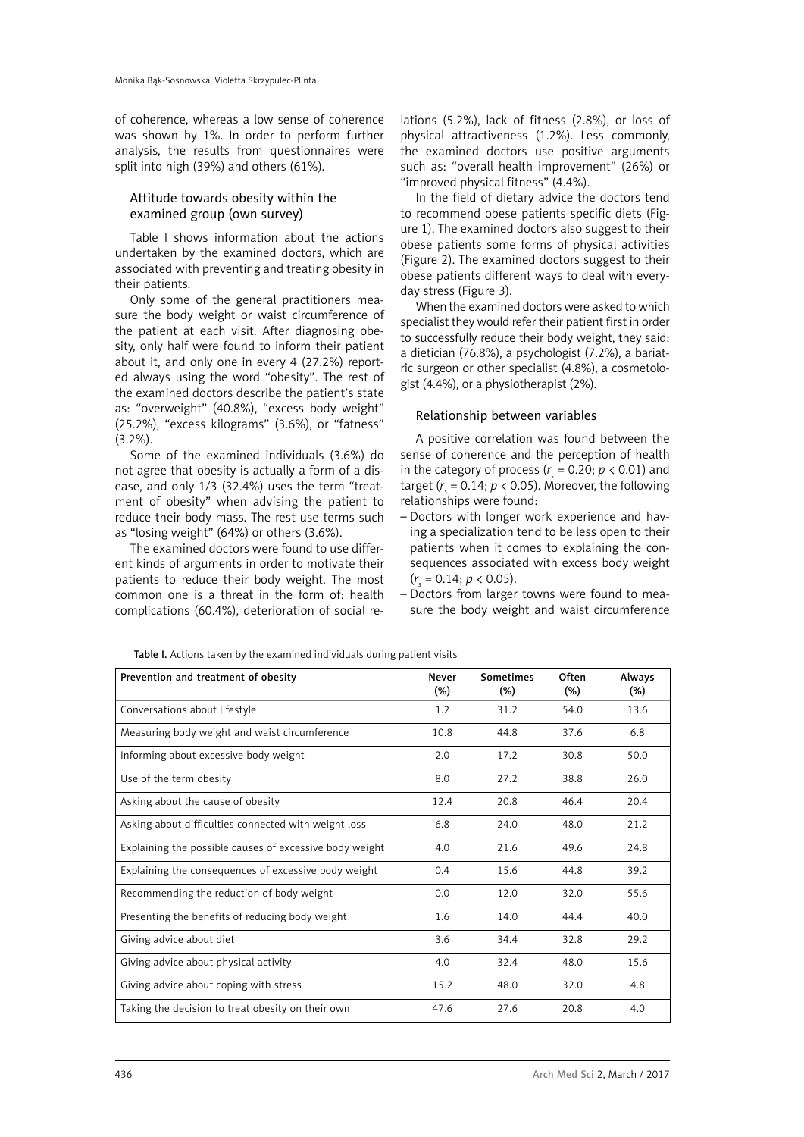of coherence, whereas a low sense of coherence was shown by 1%. In order to perform further analysis, the results from questionnaires were split into high (39%) and others (61%).

#### Attitude towards obesity within the examined group (own survey)

Table I shows information about the actions undertaken by the examined doctors, which are associated with preventing and treating obesity in their patients.

Only some of the general practitioners measure the body weight or waist circumference of the patient at each visit. After diagnosing obesity, only half were found to inform their patient about it, and only one in every 4 (27.2%) reported always using the word "obesity". The rest of the examined doctors describe the patient's state as: "overweight" (40.8%), "excess body weight" (25.2%), "excess kilograms" (3.6%), or "fatness" (3.2%).

Some of the examined individuals (3.6%) do not agree that obesity is actually a form of a disease, and only 1/3 (32.4%) uses the term "treatment of obesity" when advising the patient to reduce their body mass. The rest use terms such as "losing weight" (64%) or others (3.6%).

The examined doctors were found to use different kinds of arguments in order to motivate their patients to reduce their body weight. The most common one is a threat in the form of: health complications (60.4%), deterioration of social relations (5.2%), lack of fitness (2.8%), or loss of physical attractiveness (1.2%). Less commonly, the examined doctors use positive arguments such as: "overall health improvement" (26%) or "improved physical fitness" (4.4%).

In the field of dietary advice the doctors tend to recommend obese patients specific diets (Figure 1). The examined doctors also suggest to their obese patients some forms of physical activities (Figure 2). The examined doctors suggest to their obese patients different ways to deal with everyday stress (Figure 3).

When the examined doctors were asked to which specialist they would refer their patient first in order to successfully reduce their body weight, they said: a dietician (76.8%), a psychologist (7.2%), a bariatric surgeon or other specialist (4.8%), a cosmetologist (4.4%), or a physiotherapist (2%).

#### Relationship between variables

A positive correlation was found between the sense of coherence and the perception of health in the category of process ( $r<sub>s</sub>$  = 0.20;  $p$  < 0.01) and target ( $r<sub>s</sub>$  = 0.14;  $p$  < 0.05). Moreover, the following relationships were found:

- Doctors with longer work experience and having a specialization tend to be less open to their patients when it comes to explaining the consequences associated with excess body weight  $(r<sub>s</sub> = 0.14; p < 0.05).$
- Doctors from larger towns were found to measure the body weight and waist circumference

| Prevention and treatment of obesity                     | Never<br>$(\%)$ | <b>Sometimes</b><br>$(\%)$ | Often<br>$(\%)$ | Always<br>$(\%)$ |  |
|---------------------------------------------------------|-----------------|----------------------------|-----------------|------------------|--|
| Conversations about lifestyle                           | 1.2             | 31.2                       | 54.0            | 13.6             |  |
| Measuring body weight and waist circumference           | 10.8            | 44.8                       | 37.6            | 6.8              |  |
| Informing about excessive body weight                   | 2.0             | 17.2                       | 30.8            | 50.0             |  |
| Use of the term obesity                                 | 8.0             | 27.2                       | 38.8            | 26.0             |  |
| Asking about the cause of obesity                       | 12.4            | 20.8                       | 46.4            | 20.4             |  |
| Asking about difficulties connected with weight loss    | 6.8             | 24.0                       | 48.0            | 21.2             |  |
| Explaining the possible causes of excessive body weight | 4.0             | 21.6                       | 49.6            | 24.8             |  |
| Explaining the consequences of excessive body weight    | 0.4             | 15.6                       | 44.8            | 39.2             |  |
| Recommending the reduction of body weight               | 0.0             | 12.0                       | 32.0            | 55.6             |  |
| Presenting the benefits of reducing body weight         | 1.6             | 14.0                       | 44.4            | 40.0             |  |
| Giving advice about diet                                | 3.6             | 34.4                       | 32.8            | 29.2             |  |
| Giving advice about physical activity                   | 4.0             | 32.4                       | 48.0            | 15.6             |  |
| Giving advice about coping with stress                  | 15.2            | 48.0                       | 32.0            | 4.8              |  |
| Taking the decision to treat obesity on their own       | 47.6            | 27.6                       | 20.8            | 4.0              |  |

Table I. Actions taken by the examined individuals during patient visits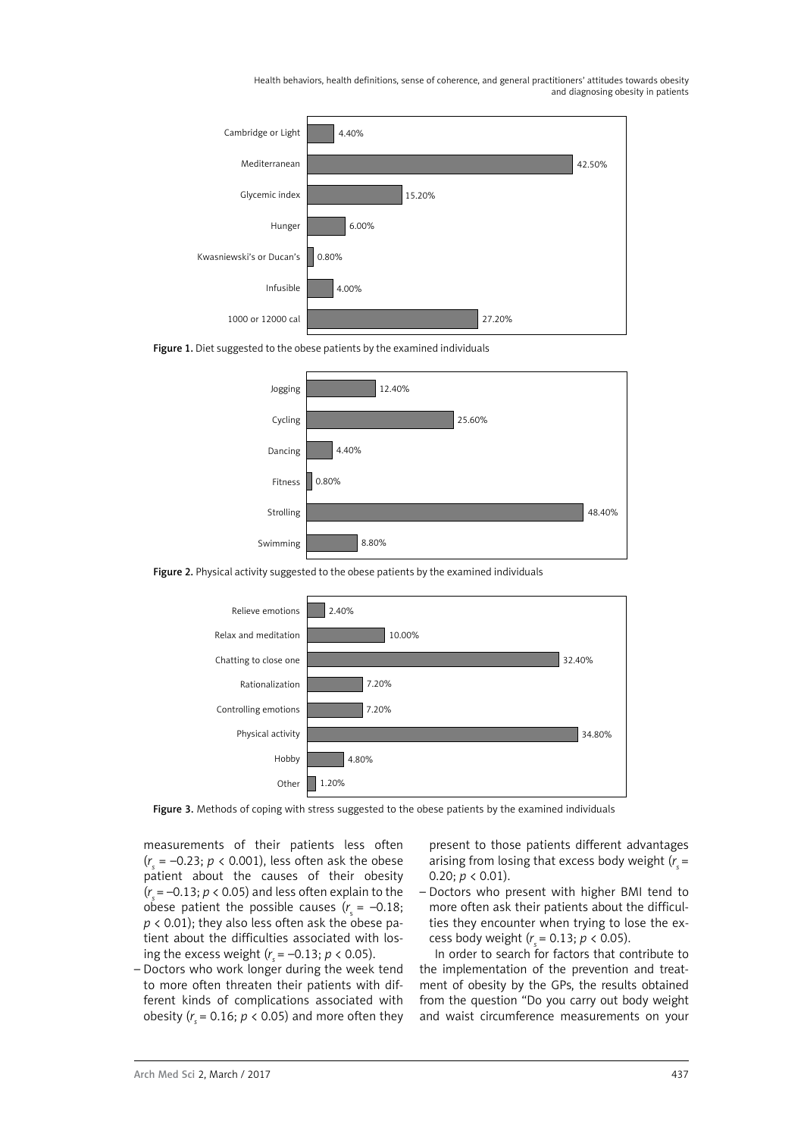Health behaviors, health definitions, sense of coherence, and general practitioners' attitudes towards obesity and diagnosing obesity in patients











Figure 3. Methods of coping with stress suggested to the obese patients by the examined individuals

measurements of their patients less often (*r s* = –0.23; *p* < 0.001), less often ask the obese patient about the causes of their obesity  $(r<sub>s</sub>=-0.13; p < 0.05)$  and less often explain to the obese patient the possible causes  $(r<sub>s</sub> = -0.18;$  $p$  < 0.01); they also less often ask the obese patient about the difficulties associated with losing the excess weight  $(r<sub>s</sub> = -0.13; p < 0.05)$ .

– Doctors who work longer during the week tend to more often threaten their patients with different kinds of complications associated with obesity ( $r_s$  = 0.16;  $p$  < 0.05) and more often they

present to those patients different advantages arising from losing that excess body weight ( $r<sub>s</sub>$  = 0.20;  $p < 0.01$ ).

– Doctors who present with higher BMI tend to more often ask their patients about the difficulties they encounter when trying to lose the excess body weight  $(r = 0.13; p < 0.05)$ .

In order to search for factors that contribute to the implementation of the prevention and treatment of obesity by the GPs, the results obtained from the question "Do you carry out body weight and waist circumference measurements on your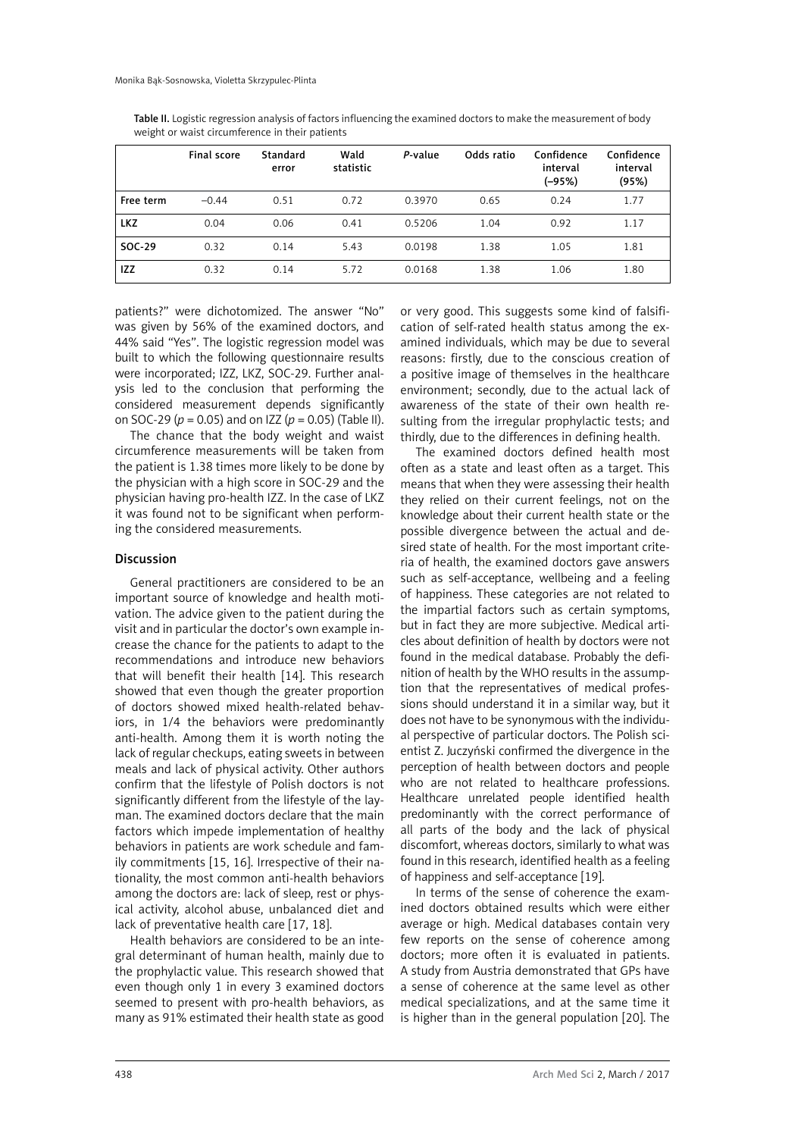|            | <b>Final score</b> | Standard<br>error | Wald<br>statistic | P-value | Odds ratio | Confidence<br>interval<br>$(-95%)$ | Confidence<br>interval<br>(95%) |
|------------|--------------------|-------------------|-------------------|---------|------------|------------------------------------|---------------------------------|
| Free term  | $-0.44$            | 0.51              | 0.72              | 0.3970  | 0.65       | 0.24                               | 1.77                            |
| <b>LKZ</b> | 0.04               | 0.06              | 0.41              | 0.5206  | 1.04       | 0.92                               | 1.17                            |
| SOC-29     | 0.32               | 0.14              | 5.43              | 0.0198  | 1.38       | 1.05                               | 1.81                            |
| <b>IZZ</b> | 0.32               | 0.14              | 5.72              | 0.0168  | 1.38       | 1.06                               | 1.80                            |

Table II. Logistic regression analysis of factors influencing the examined doctors to make the measurement of body weight or waist circumference in their patients

patients?" were dichotomized. The answer "No" was given by 56% of the examined doctors, and 44% said "Yes". The logistic regression model was built to which the following questionnaire results were incorporated; IZZ, LKZ, SOC-29. Further analysis led to the conclusion that performing the considered measurement depends significantly on SOC-29 (*p* = 0.05) and on IZZ (*p* = 0.05) (Table II).

The chance that the body weight and waist circumference measurements will be taken from the patient is 1.38 times more likely to be done by the physician with a high score in SOC-29 and the physician having pro-health IZZ. In the case of LKZ it was found not to be significant when performing the considered measurements.

#### Discussion

General practitioners are considered to be an important source of knowledge and health motivation. The advice given to the patient during the visit and in particular the doctor's own example increase the chance for the patients to adapt to the recommendations and introduce new behaviors that will benefit their health [14]. This research showed that even though the greater proportion of doctors showed mixed health-related behaviors, in 1/4 the behaviors were predominantly anti-health. Among them it is worth noting the lack of regular checkups, eating sweets in between meals and lack of physical activity. Other authors confirm that the lifestyle of Polish doctors is not significantly different from the lifestyle of the layman. The examined doctors declare that the main factors which impede implementation of healthy behaviors in patients are work schedule and family commitments [15, 16]. Irrespective of their nationality, the most common anti-health behaviors among the doctors are: lack of sleep, rest or physical activity, alcohol abuse, unbalanced diet and lack of preventative health care [17, 18].

Health behaviors are considered to be an integral determinant of human health, mainly due to the prophylactic value. This research showed that even though only 1 in every 3 examined doctors seemed to present with pro-health behaviors, as many as 91% estimated their health state as good

or very good. This suggests some kind of falsification of self-rated health status among the examined individuals, which may be due to several reasons: firstly, due to the conscious creation of a positive image of themselves in the healthcare environment; secondly, due to the actual lack of awareness of the state of their own health resulting from the irregular prophylactic tests; and thirdly, due to the differences in defining health.

The examined doctors defined health most often as a state and least often as a target. This means that when they were assessing their health they relied on their current feelings, not on the knowledge about their current health state or the possible divergence between the actual and desired state of health. For the most important criteria of health, the examined doctors gave answers such as self-acceptance, wellbeing and a feeling of happiness. These categories are not related to the impartial factors such as certain symptoms, but in fact they are more subjective. Medical articles about definition of health by doctors were not found in the medical database. Probably the definition of health by the WHO results in the assumption that the representatives of medical professions should understand it in a similar way, but it does not have to be synonymous with the individual perspective of particular doctors. The Polish scientist Z. Juczyński confirmed the divergence in the perception of health between doctors and people who are not related to healthcare professions. Healthcare unrelated people identified health predominantly with the correct performance of all parts of the body and the lack of physical discomfort, whereas doctors, similarly to what was found in this research, identified health as a feeling of happiness and self-acceptance [19].

In terms of the sense of coherence the examined doctors obtained results which were either average or high. Medical databases contain very few reports on the sense of coherence among doctors; more often it is evaluated in patients. A study from Austria demonstrated that GPs have a sense of coherence at the same level as other medical specializations, and at the same time it is higher than in the general population [20]. The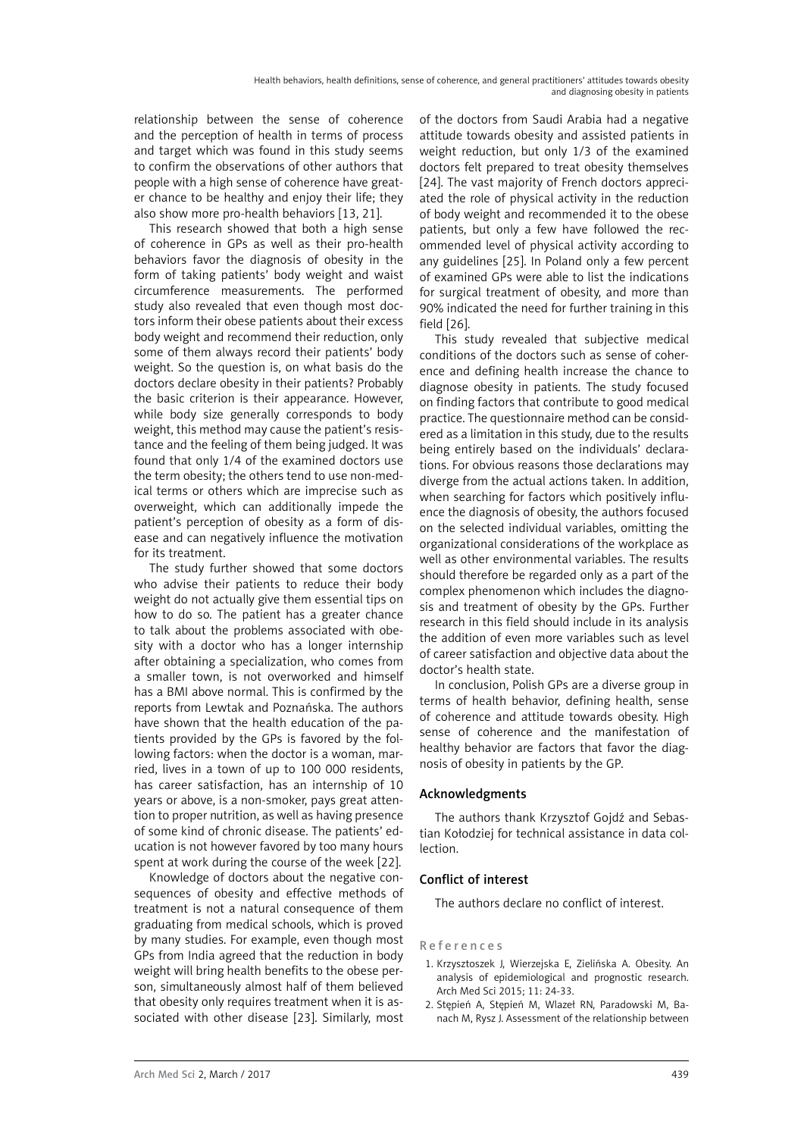relationship between the sense of coherence and the perception of health in terms of process and target which was found in this study seems to confirm the observations of other authors that people with a high sense of coherence have greater chance to be healthy and enjoy their life; they also show more pro-health behaviors [13, 21].

This research showed that both a high sense of coherence in GPs as well as their pro-health behaviors favor the diagnosis of obesity in the form of taking patients' body weight and waist circumference measurements. The performed study also revealed that even though most doctors inform their obese patients about their excess body weight and recommend their reduction, only some of them always record their patients' body weight. So the question is, on what basis do the doctors declare obesity in their patients? Probably the basic criterion is their appearance. However, while body size generally corresponds to body weight, this method may cause the patient's resistance and the feeling of them being judged. It was found that only 1/4 of the examined doctors use the term obesity; the others tend to use non-medical terms or others which are imprecise such as overweight, which can additionally impede the patient's perception of obesity as a form of disease and can negatively influence the motivation for its treatment.

The study further showed that some doctors who advise their patients to reduce their body weight do not actually give them essential tips on how to do so. The patient has a greater chance to talk about the problems associated with obesity with a doctor who has a longer internship after obtaining a specialization, who comes from a smaller town, is not overworked and himself has a BMI above normal. This is confirmed by the reports from Lewtak and Poznańska. The authors have shown that the health education of the patients provided by the GPs is favored by the following factors: when the doctor is a woman, married, lives in a town of up to 100 000 residents, has career satisfaction, has an internship of 10 years or above, is a non-smoker, pays great attention to proper nutrition, as well as having presence of some kind of chronic disease. The patients' education is not however favored by too many hours spent at work during the course of the week [22].

Knowledge of doctors about the negative consequences of obesity and effective methods of treatment is not a natural consequence of them graduating from medical schools, which is proved by many studies. For example, even though most GPs from India agreed that the reduction in body weight will bring health benefits to the obese person, simultaneously almost half of them believed that obesity only requires treatment when it is associated with other disease [23]. Similarly, most

of the doctors from Saudi Arabia had a negative attitude towards obesity and assisted patients in weight reduction, but only 1/3 of the examined doctors felt prepared to treat obesity themselves [24]. The vast majority of French doctors appreciated the role of physical activity in the reduction of body weight and recommended it to the obese patients, but only a few have followed the recommended level of physical activity according to any guidelines [25]. In Poland only a few percent of examined GPs were able to list the indications for surgical treatment of obesity, and more than 90% indicated the need for further training in this field [26].

This study revealed that subjective medical conditions of the doctors such as sense of coherence and defining health increase the chance to diagnose obesity in patients. The study focused on finding factors that contribute to good medical practice. The questionnaire method can be considered as a limitation in this study, due to the results being entirely based on the individuals' declarations. For obvious reasons those declarations may diverge from the actual actions taken. In addition, when searching for factors which positively influence the diagnosis of obesity, the authors focused on the selected individual variables, omitting the organizational considerations of the workplace as well as other environmental variables. The results should therefore be regarded only as a part of the complex phenomenon which includes the diagnosis and treatment of obesity by the GPs. Further research in this field should include in its analysis the addition of even more variables such as level of career satisfaction and objective data about the doctor's health state.

In conclusion, Polish GPs are a diverse group in terms of health behavior, defining health, sense of coherence and attitude towards obesity. High sense of coherence and the manifestation of healthy behavior are factors that favor the diagnosis of obesity in patients by the GP.

# Acknowledgments

The authors thank Krzysztof Gojdź and Sebastian Kołodziej for technical assistance in data collection.

# Conflict of interest

The authors declare no conflict of interest.

#### References

- 1. Krzysztoszek J, Wierzejska E, Zielińska A. Obesity. An analysis of epidemiological and prognostic research. Arch Med Sci 2015; 11: 24-33.
- 2. [Stępień A](http://www.ncbi.nlm.nih.gov/pubmed/?term=St%C4%99pie%C5%84%20A%5BAuthor%5D&cauthor=true&cauthor_uid=25512170), [Stępień M](http://www.ncbi.nlm.nih.gov/pubmed/?term=St%C4%99pie%C5%84%20M%5BAuthor%5D&cauthor=true&cauthor_uid=25512170), [Wlazeł RN,](http://www.ncbi.nlm.nih.gov/pubmed/?term=Wlaze%C5%82%20RN%5BAuthor%5D&cauthor=true&cauthor_uid=25512170) [Paradowski M,](http://www.ncbi.nlm.nih.gov/pubmed/?term=Paradowski%20M%5BAuthor%5D&cauthor=true&cauthor_uid=25512170) [Ba](http://www.ncbi.nlm.nih.gov/pubmed/?term=Banach%20M%5BAuthor%5D&cauthor=true&cauthor_uid=25512170)[nach M](http://www.ncbi.nlm.nih.gov/pubmed/?term=Banach%20M%5BAuthor%5D&cauthor=true&cauthor_uid=25512170), [Rysz J](http://www.ncbi.nlm.nih.gov/pubmed/?term=Rysz%20J%5BAuthor%5D&cauthor=true&cauthor_uid=25512170). Assessment of the relationship between